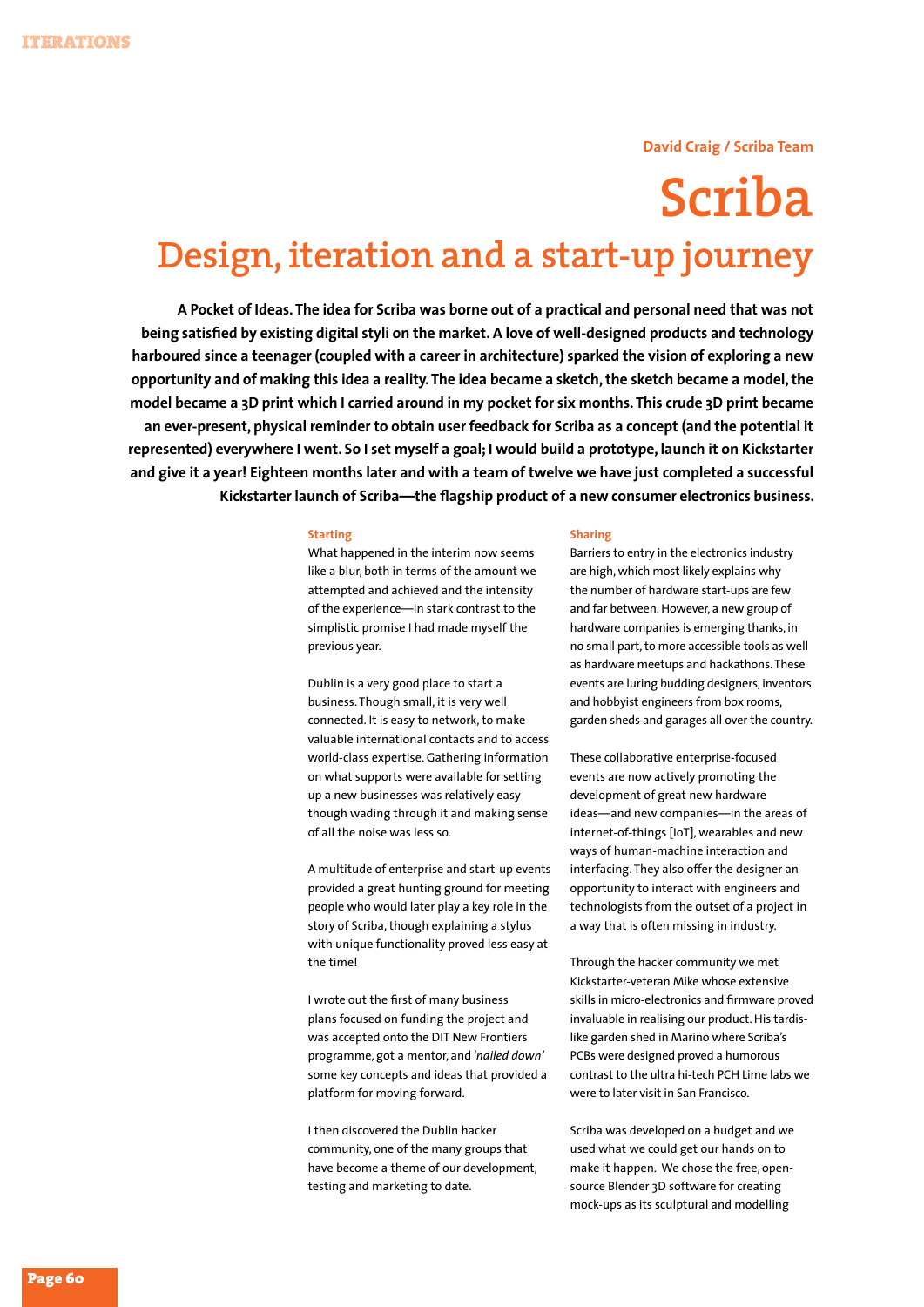## **David Craig / Scriba Team**

# **Scriba Design, iteration and a start-up journey**

**A Pocket of Ideas. The idea for Scriba was borne out of a practical and personal need that was not being satisfied by existing digital styli on the market. A love of well-designed products and technology harboured since a teenager (coupled with a career in architecture) sparked the vision of exploring a new opportunity and of making this idea a reality. The idea became a sketch, the sketch became a model, the model became a 3D print which I carried around in my pocket for six months. This crude 3D print became an ever-present, physical reminder to obtain user feedback for Scriba as a concept (and the potential it represented) everywhere I went. So I set myself a goal; I would build a prototype, launch it on Kickstarter and give it a year! Eighteen months later and with a team of twelve we have just completed a successful Kickstarter launch of Scriba—the flagship product of a new consumer electronics business.**

## **Starting**

What happened in the interim now seems like a blur, both in terms of the amount we attempted and achieved and the intensity of the experience—in stark contrast to the simplistic promise I had made myself the previous year.

Dublin is a very good place to start a business. Though small, it is very well connected. It is easy to network, to make valuable international contacts and to access world-class expertise. Gathering information on what supports were available for setting up a new businesses was relatively easy though wading through it and making sense of all the noise was less so.

A multitude of enterprise and start-up events provided a great hunting ground for meeting people who would later play a key role in the story of Scriba, though explaining a stylus with unique functionality proved less easy at the time!

I wrote out the first of many business plans focused on funding the project and was accepted onto the DIT New Frontiers programme, got a mentor, and *'nailed down'*  some key concepts and ideas that provided a platform for moving forward.

I then discovered the Dublin hacker community, one of the many groups that have become a theme of our development, testing and marketing to date.

## **Sharing**

Barriers to entry in the electronics industry are high, which most likely explains why the number of hardware start-ups are few and far between. However, a new group of hardware companies is emerging thanks, in no small part, to more accessible tools as well as hardware meetups and hackathons. These events are luring budding designers, inventors and hobbyist engineers from box rooms, garden sheds and garages all over the country.

These collaborative enterprise-focused events are now actively promoting the development of great new hardware ideas—and new companies—in the areas of internet-of-things [IoT], wearables and new ways of human-machine interaction and interfacing. They also offer the designer an opportunity to interact with engineers and technologists from the outset of a project in a way that is often missing in industry.

Through the hacker community we met Kickstarter-veteran Mike whose extensive skills in micro-electronics and firmware proved invaluable in realising our product. His tardislike garden shed in Marino where Scriba's PCBs were designed proved a humorous contrast to the ultra hi-tech PCH Lime labs we were to later visit in San Francisco.

Scriba was developed on a budget and we used what we could get our hands on to make it happen. We chose the free, opensource Blender 3D software for creating mock-ups as its sculptural and modelling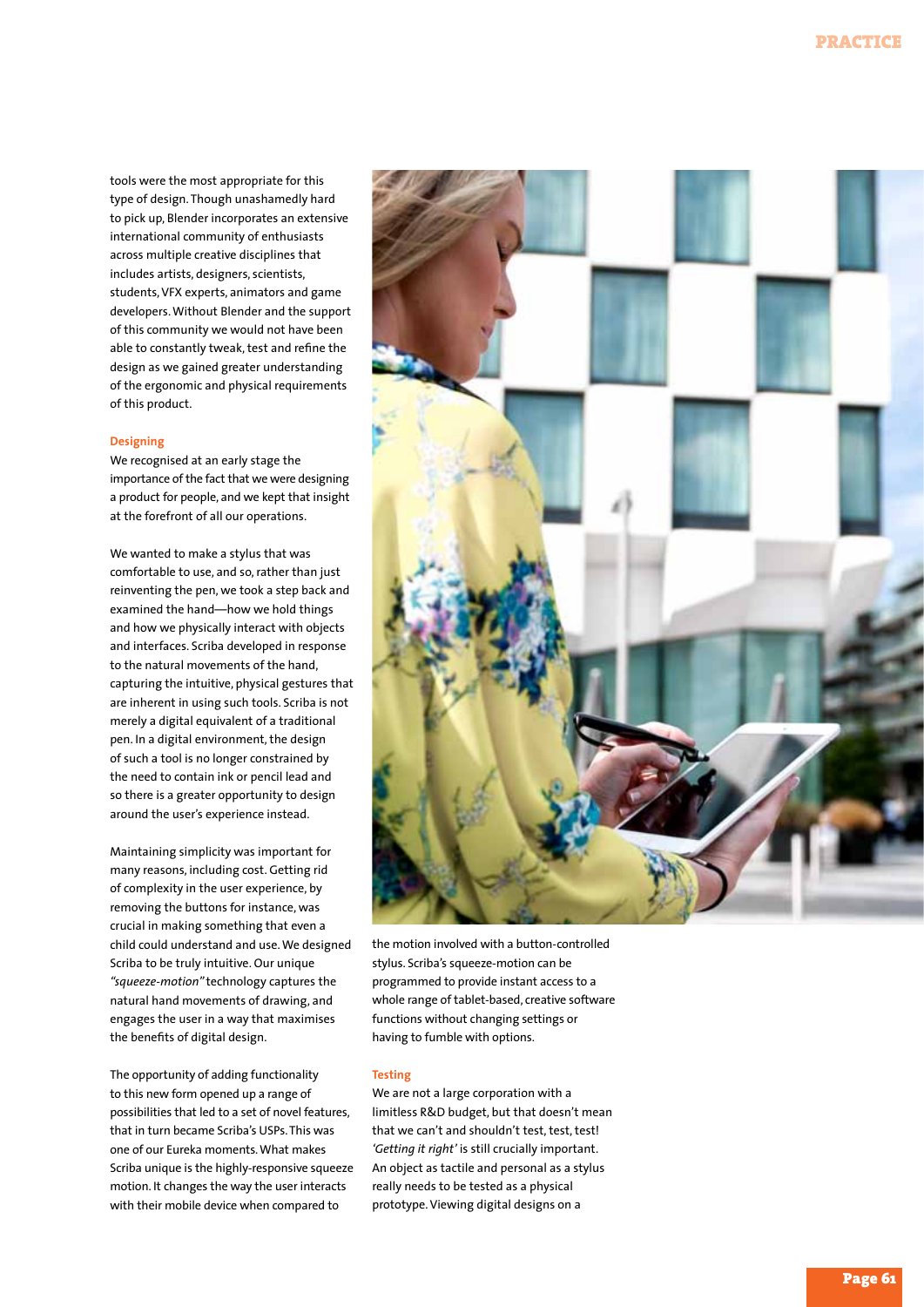tools were the most appropriate for this type of design. Though unashamedly hard to pick up, Blender incorporates an extensive international community of enthusiasts across multiple creative disciplines that includes artists, designers, scientists, students, VFX experts, animators and game developers. Without Blender and the support of this community we would not have been able to constantly tweak, test and refine the design as we gained greater understanding of the ergonomic and physical requirements of this product.

## **Designing**

We recognised at an early stage the importance of the fact that we were designing a product for people, and we kept that insight at the forefront of all our operations.

We wanted to make a stylus that was comfortable to use, and so, rather than just reinventing the pen, we took a step back and examined the hand—how we hold things and how we physically interact with objects and interfaces. Scriba developed in response to the natural movements of the hand, capturing the intuitive, physical gestures that are inherent in using such tools. Scriba is not merely a digital equivalent of a traditional pen. In a digital environment, the design of such a tool is no longer constrained by the need to contain ink or pencil lead and so there is a greater opportunity to design around the user's experience instead.

Maintaining simplicity was important for many reasons, including cost. Getting rid of complexity in the user experience, by removing the buttons for instance, was crucial in making something that even a child could understand and use. We designed Scriba to be truly intuitive. Our unique *"squeeze-motion"* technology captures the natural hand movements of drawing, and engages the user in a way that maximises the benefits of digital design.

The opportunity of adding functionality to this new form opened up a range of possibilities that led to a set of novel features, that in turn became Scriba's USPs. This was one of our Eureka moments. What makes Scriba unique is the highly-responsive squeeze motion. It changes the way the user interacts with their mobile device when compared to



the motion involved with a button-controlled stylus. Scriba's squeeze-motion can be programmed to provide instant access to a whole range of tablet-based, creative software functions without changing settings or having to fumble with options.

## **Testing**

We are not a large corporation with a limitless R&D budget, but that doesn't mean that we can't and shouldn't test, test, test! *'Getting it right'* is still crucially important. An object as tactile and personal as a stylus really needs to be tested as a physical prototype. Viewing digital designs on a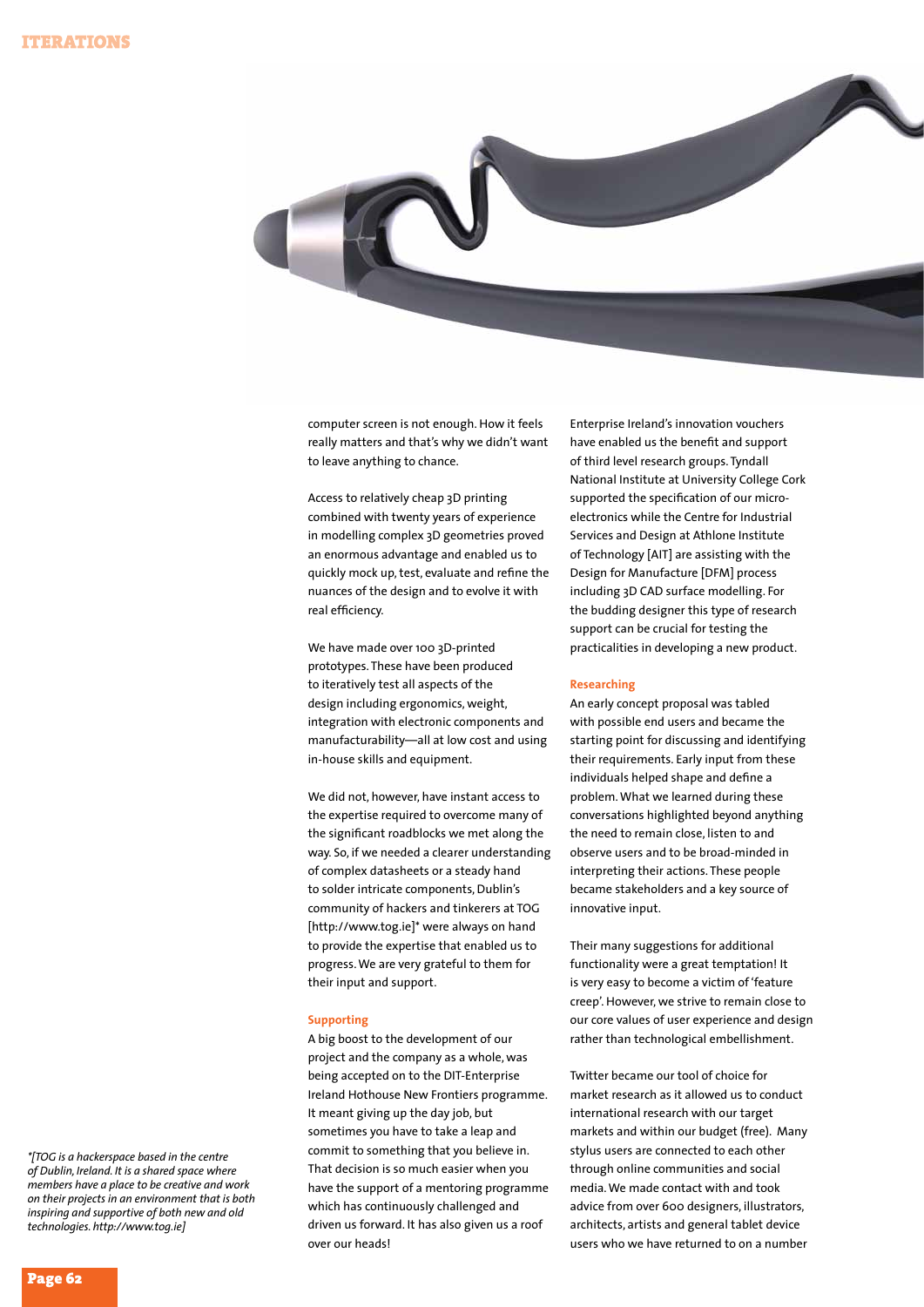

computer screen is not enough. How it feels really matters and that's why we didn't want to leave anything to chance.

Access to relatively cheap 3D printing combined with twenty years of experience in modelling complex 3D geometries proved an enormous advantage and enabled us to quickly mock up, test, evaluate and refine the nuances of the design and to evolve it with real efficiency.

We have made over 100 3D-printed prototypes. These have been produced to iteratively test all aspects of the design including ergonomics, weight, integration with electronic components and manufacturability—all at low cost and using in-house skills and equipment.

We did not, however, have instant access to the expertise required to overcome many of the significant roadblocks we met along the way. So, if we needed a clearer understanding of complex datasheets or a steady hand to solder intricate components, Dublin's community of hackers and tinkerers at TOG [http://www.tog.ie]\* were always on hand to provide the expertise that enabled us to progress. We are very grateful to them for their input and support.

## **Supporting**

A big boost to the development of our project and the company as a whole, was being accepted on to the DIT-Enterprise Ireland Hothouse New Frontiers programme. It meant giving up the day job, but sometimes you have to take a leap and commit to something that you believe in. That decision is so much easier when you have the support of a mentoring programme which has continuously challenged and driven us forward. It has also given us a roof over our heads!

Enterprise Ireland's innovation vouchers have enabled us the benefit and support of third level research groups. Tyndall National Institute at University College Cork supported the specification of our microelectronics while the Centre for Industrial Services and Design at Athlone Institute of Technology [AIT] are assisting with the Design for Manufacture [DFM] process including 3D CAD surface modelling. For the budding designer this type of research support can be crucial for testing the practicalities in developing a new product.

## **Researching**

An early concept proposal was tabled with possible end users and became the starting point for discussing and identifying their requirements. Early input from these individuals helped shape and define a problem. What we learned during these conversations highlighted beyond anything the need to remain close, listen to and observe users and to be broad-minded in interpreting their actions. These people became stakeholders and a key source of innovative input.

Their many suggestions for additional functionality were a great temptation! It is very easy to become a victim of 'feature creep'. However, we strive to remain close to our core values of user experience and design rather than technological embellishment.

Twitter became our tool of choice for market research as it allowed us to conduct international research with our target markets and within our budget (free). Many stylus users are connected to each other through online communities and social media. We made contact with and took advice from over 600 designers, illustrators, architects, artists and general tablet device users who we have returned to on a number

*\*[TOG is a hackerspace based in the centre of Dublin, Ireland. It is a shared space where members have a place to be creative and work on their projects in an environment that is both inspiring and supportive of both new and old technologies. http://www.tog.ie]*